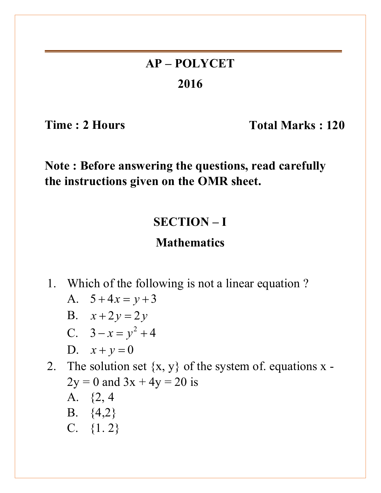# **AP – POLYCET 2016**

Time : 2 Hours Total Marks : 120

**Note : Before answering the questions, read carefully the instructions given on the OMR sheet.**

### **SECTION – I**

### **Mathematics**

- 1. Which of the following is not a linear equation ?
	- A.  $5+4x = y+3$
	- **B.**  $x + 2y = 2y$
	- C.  $3 x = y^2 + 4$

$$
D. \quad x + y = 0
$$

- 2. The solution set  $\{x, y\}$  of the system of. equations x - $2y = 0$  and  $3x + 4y = 20$  is A. {2, 4 B. {4,2}
	- C.  $\{1, 2\}$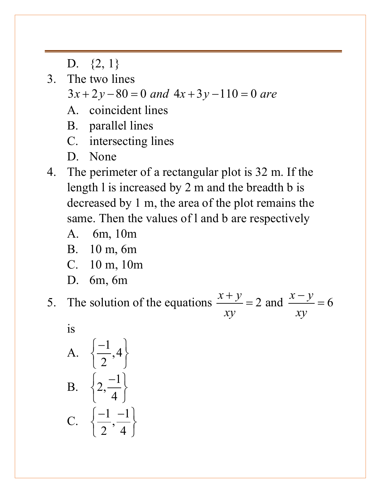D.  $\{2, 1\}$ 

3. The two lines

 $3x + 2y - 80 = 0$  and  $4x + 3y - 110 = 0$  are

- A. coincident lines
- B. parallel lines
- C. intersecting lines
- D. None
- 4. The perimeter of a rectangular plot is 32 m. If the length l is increased by 2 m and the breadth b is decreased by 1 m, the area of the plot remains the same. Then the values of l and b are respectively
	- A. 6m, 10m
	- B. 10 m, 6m
	- C. 10 m, 10m
	- D. 6m, 6m

5. The solution of the equations  $\frac{x+y}{x-2} = 2$  and  $\frac{x-y}{x-6} = 6$ *xy xy*  $+y$   $2x = 2$  and  $\frac{x}{x}$  =

is

A. 
$$
\left\{\frac{-1}{2}, 4\right\}
$$
  
B. 
$$
\left\{2, \frac{-1}{4}\right\}
$$
  
C. 
$$
\left\{\frac{-1}{2}, \frac{-1}{4}\right\}
$$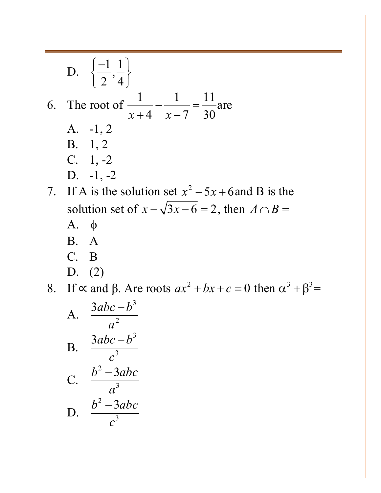D.  $\left\{\frac{-1}{2}, \frac{1}{4}\right\}$  $\frac{1}{2}$ ,  $\frac{1}{4}$  $\begin{pmatrix} -1 & 1 \end{pmatrix}$  $\left\{\frac{1}{2},\frac{1}{4}\right\}$ 6. The root of  $\frac{1}{\sqrt{1 - \frac{1}{\sqrt{1}}} = \frac{11}{20}$  $x+4$   $x-7$  30 – ——— =<br>— —— =  $+4$   $x$ are A. -1, 2 B. 1, 2  $C. \quad 1, -2$ D.  $-1, -2$ 7. If A is the solution set  $x^2 - 5x + 6$  and B is the solution set of  $x - \sqrt{3x - 6} = 2$ , then  $A \cap B =$ A. φ B. A C. B D. (2) 8. If  $\propto$  and  $\beta$ . Are roots  $ax^2 + bx + c = 0$  then  $\alpha^3 + \beta^3 =$ A. 3 2  $3abc - b$ *a* − B. 3 3  $3abc - b$ *c* − C. 2 3  $b^2 - 3abc$ *a* − D. 2 3  $b^2 - 3abc$ *c* −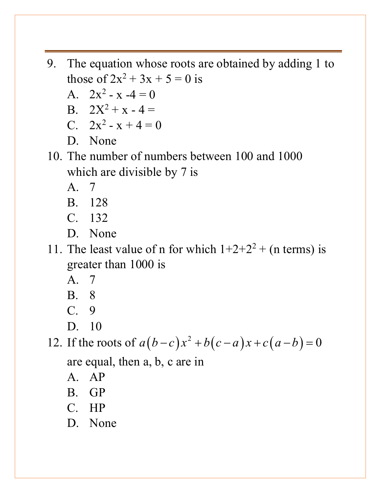- 9. The equation whose roots are obtained by adding 1 to those of  $2x^2 + 3x + 5 = 0$  is
	- A.  $2x^2 x 4 = 0$
	- B.  $2X^2 + x 4 =$
	- C.  $2x^2 x + 4 = 0$
	- D. None
- 10. The number of numbers between 100 and 1000 which are divisible by 7 is
	- A. 7
	- B. 128
	- C. 132
	- D. None
- 11. The least value of n for which  $1+2+2^2$  + (n terms) is greater than 1000 is
	- A. 7
	- B. 8
	- C. 9
	- D. 10

12. If the roots of  $a ( b - c ) x^2 + b ( c - a ) x + c ( a - b ) = 0$ are equal, then a, b, c are in

- A. AP
- B. GP
- C. HP
- D. None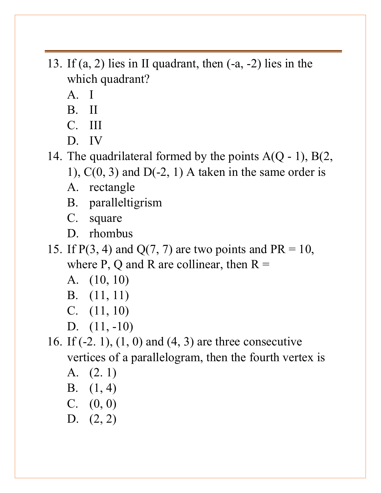- 13. If (a, 2) lies in II quadrant, then (-a, -2) lies in the which quadrant?
	- A. I
	- B. II
	- C. III
	- D. IV

14. The quadrilateral formed by the points  $A(Q - 1)$ ,  $B(2,$ 

1),  $C(0, 3)$  and  $D(-2, 1)$  A taken in the same order is

- A. rectangle
- B. paralleltigrism
- C. square
- D. rhombus
- 15. If  $P(3, 4)$  and  $Q(7, 7)$  are two points and  $PR = 10$ , where P, Q and R are collinear, then  $R =$ 
	- A. (10, 10)
	- B. (11, 11)
	- C. (11, 10)
	- D. (11, -10)

16. If (-2. 1), (1, 0) and (4, 3) are three consecutive vertices of a parallelogram, then the fourth vertex is

- A. (2. 1)
- B. (1, 4)
- C. (0, 0)
- D. (2, 2)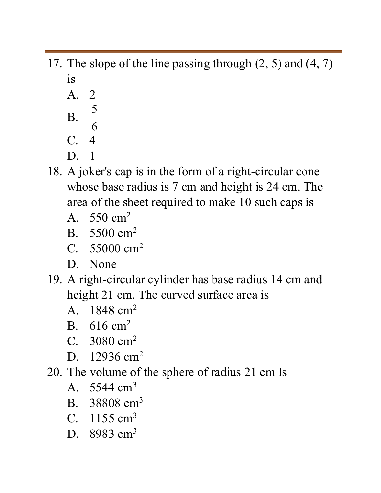- 17. The slope of the line passing through (2, 5) and (4, 7) is
	- A. 2  $B.$  $rac{5}{6}$ C. 4 D. 1
- 18. A joker's cap is in the form of a right-circular cone whose base radius is 7 cm and height is 24 cm. The area of the sheet required to make 10 such caps is
	- A.  $550 \text{ cm}^2$
	- B. 5500 cm2
	- C. 55000 cm2
	- D. None
- 19. A right-circular cylinder has base radius 14 cm and height 21 cm. The curved surface area is
	- A. 1848 cm2
	- B. 616 cm2
	- C. 3080 cm2
	- D. 12936 cm<sup>2</sup>
- 20. The volume of the sphere of radius 21 cm Is
	- A. 5544 cm3
	- B. 38808 cm3
	- C.  $1155 \text{ cm}^3$
	- D. 8983 cm<sup>3</sup>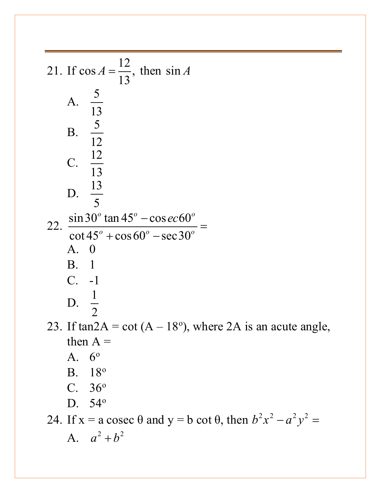21. If 
$$
\cos A = \frac{12}{13}
$$
, then  $\sin A$   
\nA.  $\frac{5}{13}$   
\nB.  $\frac{5}{12}$   
\nC.  $\frac{12}{13}$   
\nD.  $\frac{13}{5}$   
\n22.  $\frac{\sin 30^{\circ} \tan 45^{\circ} - \cos ec 60^{\circ}}{\cot 45^{\circ} + \cos 60^{\circ} - \sec 30^{\circ}} =$   
\nA. 0  
\nB. 1  
\nC. -1  
\nD.  $\frac{1}{2}$   
\n23. If  $\tan 2A = \cot (A - 18^{\circ})$ , where 2A is an acute angle, then A =  
\nA. 6°  
\nB. 18°  
\nC. 36°  
\nD. 54°  
\n24. If x = a cosec θ and y = b cot θ, then b<sup>2</sup>x<sup>2</sup> - a<sup>2</sup>y<sup>2</sup> =  
\nA. a<sup>2</sup> + b<sup>2</sup>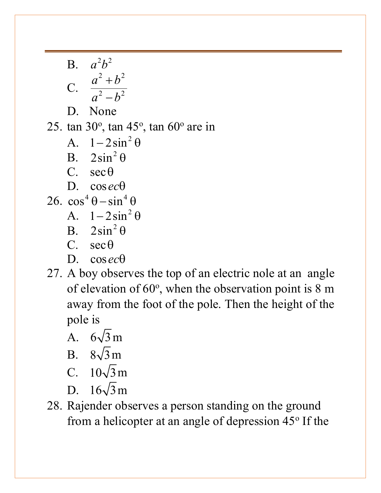- **B.**  $a^2b^2$ C. 2  $\mu^2$ 2  $\mathbf{L}^2$  $a^2 + b$  $a^2-b$ + − D. None 25. tan 30 $^{\circ}$ , tan 45 $^{\circ}$ , tan 60 $^{\circ}$  are in A.  $1 - 2\sin^2\theta$ B.  $2\sin^2\theta$ C. secθ D. cos*ec*θ 26.  $\cos^4 \theta - \sin^4 \theta$ A.  $1 - 2\sin^2\theta$ B.  $2\sin^2\theta$ C.  $\sec \theta$ 
	- D. cos*ec*θ
- 27. A boy observes the top of an electric nole at an angle of elevation of  $60^\circ$ , when the observation point is 8 m away from the foot of the pole. Then the height of the pole is
	- A.  $6\sqrt{3}$  m
	- B.  $8\sqrt{3}$  m
	- C.  $10\sqrt{3}$  m
	- D.  $16\sqrt{3}$  m
- 28. Rajender observes a person standing on the ground from a helicopter at an angle of depression  $45^{\circ}$  If the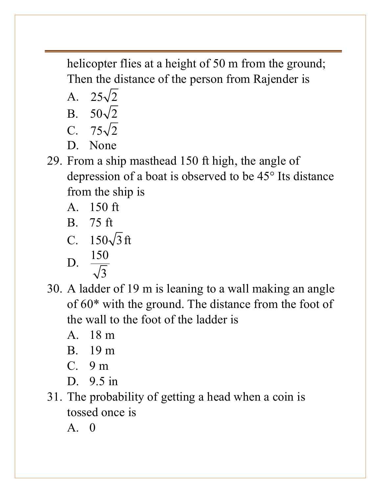helicopter flies at a height of 50 m from the ground; Then the distance of the person from Rajender is

A.  $25\sqrt{2}$ 

B. 
$$
50\sqrt{2}
$$

$$
C. \quad 75\sqrt{2}
$$

- D. None
- 29. From a ship masthead 150 ft high, the angle of depression of a boat is observed to be 45° Its distance from the ship is
	- A. 150 ft
	- B. 75 ft

C. 
$$
150\sqrt{3}
$$
 ft

D. 
$$
\frac{150}{\sqrt{3}}
$$

- 30. A ladder of 19 m is leaning to a wall making an angle of 60\* with the ground. The distance from the foot of the wall to the foot of the ladder is
	- A. 18 m
	- B. 19 m
	- C. 9 m
	- D. 9.5 in
- 31. The probability of getting a head when a coin is tossed once is
	- A. 0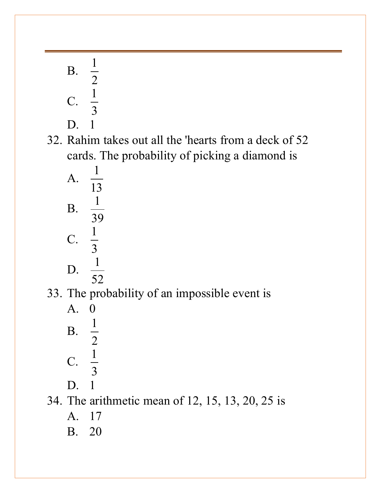$\mathbf{B} \cdot \frac{1}{2}$ 2 C.  $\frac{1}{2}$ 3 D. 1 32. Rahim takes out all the 'hearts from a deck of 52 cards. The probability of picking a diamond is A.  $\frac{1}{13}$  $\mathbf{B} \cdot \frac{1}{26}$ 39 C.  $\frac{1}{2}$ 3 D.  $\frac{1}{76}$ 52 33. The probability of an impossible event is A. 0  $\mathbf{B} \cdot \frac{1}{2}$ 2 C.  $\frac{1}{2}$ 3 D. 1 34. The arithmetic mean of 12, 15, 13, 20, 25 is A. 17 B. 20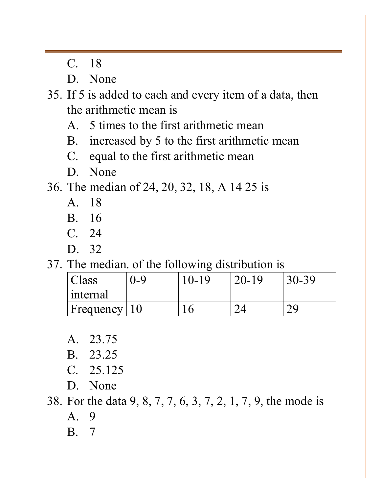C. 18

D. None

35. If 5 is added to each and every item of a data, then the arithmetic mean is

- A. 5 times to the first arithmetic mean
- B. increased by 5 to the first arithmetic mean
- C. equal to the first arithmetic mean
- D. None

36. The median of 24, 20, 32, 18, A 14 25 is

- A. 18
- B. 16
- C. 24
- D. 32

37. The median. of the following distribution is

| Class                         | $J - Q$ | $(0 - 19)$ | $20 - 19$ | $30 - 39$ |
|-------------------------------|---------|------------|-----------|-----------|
| internal                      |         |            |           |           |
| $F$ Frequency   $\frac{1}{2}$ |         |            |           |           |

A. 23.75

- B. 23.25
- C. 25.125
- D. None

38. For the data 9, 8, 7, 7, 6, 3, 7, 2, 1, 7, 9, the mode is

- A. 9
- B. 7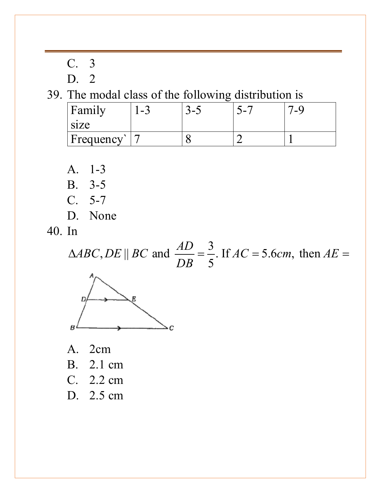| <b>PERSONAL</b> | $\overline{3}$ |
|-----------------|----------------|
| D.              | $\mathcal{P}$  |

39. The modal class of the following distribution is

| Family            | -3 | $\sim$ | . . | $\mathbf{-}$ |
|-------------------|----|--------|-----|--------------|
| size<br>Frequency |    |        |     |              |

A. 1-3

- B. 3-5
- C. 5-7
- D. None

40. In

 $ABC, DE \parallel BC$  and  $\frac{AD}{DB} = \frac{3}{5}$ . If  $AC = 5.6 cm$ , then  $AE$ *DB*  $\triangle ABC$ , DE || BC and  $\frac{212}{22} = \frac{3}{4}$ . If  $AC = 5.6$ cm, then  $AE =$ 



- A. 2cm
- B. 2.1 cm
- C. 2.2 cm
- D. 2.5 cm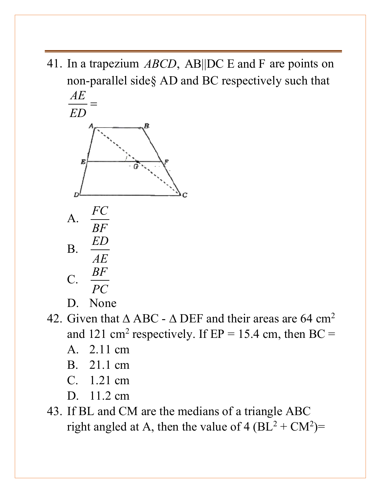41. In a trapezium *ABCD*, AB||DC E and F are points on non-parallel side§ AD and BC respectively such that *AE*



D. None

- 42. Given that  $\triangle$  ABC  $\triangle$  DEF and their areas are 64 cm<sup>2</sup> and 121 cm<sup>2</sup> respectively. If  $EP = 15.4$  cm, then  $BC =$ 
	- A. 2.11 cm
	- B. 21.1 cm
	- C. 1.21 cm
	- D. 11.2 cm
- 43. If BL and CM are the medians of a triangle ABC right angled at A, then the value of  $4 (BL^2 + CM^2)$ =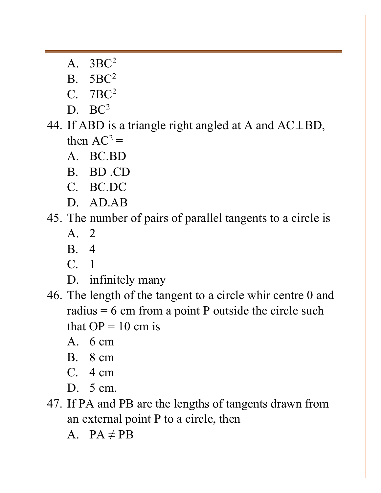- A. 3BC2
- B. 5BC2
- C. 7BC2
- $D. BC<sup>2</sup>$
- 44. If ABD is a triangle right angled at A and AC⊥BD, then  $AC^2$  =
	- A. BC.BD
	- B. BD .CD
	- C. BC.DC
	- D. AD.AB

### 45. The number of pairs of parallel tangents to a circle is

- A. 2
- B. 4
- C. 1
- D. infinitely many
- 46. The length of the tangent to a circle whir centre 0 and radius  $= 6$  cm from a point P outside the circle such that  $OP = 10$  cm is
	- A.  $6 \text{ cm}$
	- B. 8 cm
	- C. 4 cm
	- D. 5 cm.
- 47. If PA and PB are the lengths of tangents drawn from an external point P to a circle, then
	- A.  $PA \neq PB$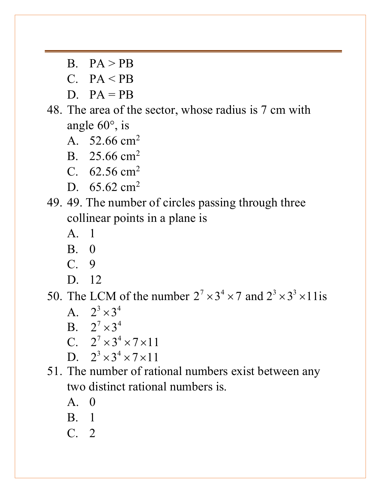$B.$   $PA > PR$ 

 $C.$  PA < PB

- $D.$   $PA = PR$
- 48. The area of the sector, whose radius is 7 cm with angle 60°, is
	- A. 52.66 cm<sup>2</sup>
	- B. 25.66 cm<sup>2</sup>
	- C.  $62.56 \text{ cm}^2$
	- D.  $65.62 \text{ cm}^2$
- 49. 49. The number of circles passing through three collinear points in a plane is
	- A. 1
	- B. 0
	- C. 9
	- D. 12

50. The LCM of the number  $2^7 \times 3^4 \times 7$  and  $2^3 \times 3^3 \times 11$  is

- A.  $2^3 \times 3^4$
- B.  $2^7 \times 3^4$
- C.  $2^7 \times 3^4 \times 7 \times 11$
- D.  $2^3 \times 3^4 \times 7 \times 11$
- 51. The number of rational numbers exist between any two distinct rational numbers is.
	- $A \cap$
	- B. 1
	- C. 2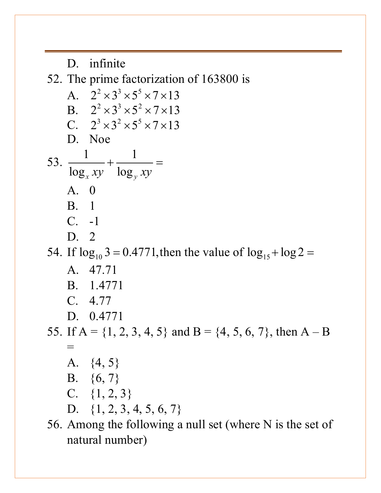D. infinite 52. The prime factorization of 163800 is A.  $2^{2} \times 3^{3} \times 5^{5} \times 7 \times 13$ B.  $2^{2} \times 3^{3} \times 5^{2} \times 7 \times 13$ C.  $2^3 \times 3^2 \times 5^5 \times 7 \times 13$ D. Noe 53.  $\frac{1}{1}$  +  $\frac{1}{1}$  $\log_x xy$   $\log_y xy$  $+\frac{1}{1}$  = A. 0 B. 1 C. -1 D. 2 54. If  $\log_{10} 3 = 0.4771$ , then the value of  $\log_{15} + \log 2 =$ A. 47.71 B. 1.4771 C. 4.77 D. 0.4771 55. If  $A = \{1, 2, 3, 4, 5\}$  and  $B = \{4, 5, 6, 7\}$ , then  $A - B$  $=$ A. {4, 5} B. {6, 7} C.  $\{1, 2, 3\}$ D. {1, 2, 3, 4, 5, 6, 7} 56. Among the following a null set (where N is the set of natural number)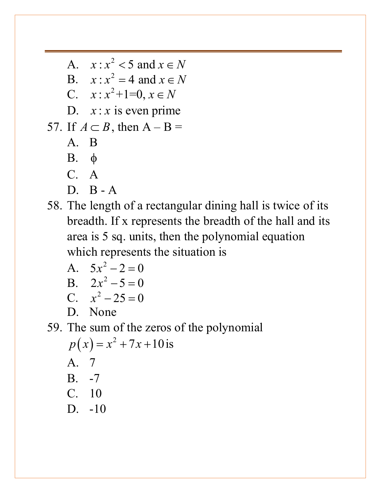A.  $x: x^2 < 5$  and  $x \in N$ B.  $x: x^2 = 4$  and  $x \in N$ C.  $x: x^2+1=0, x \in N$ D.  $x: x$  is even prime 57. If  $A \subset B$ , then  $A - B =$ A. B B. φ C. A D. B - A

58. The length of a rectangular dining hall is twice of its breadth. If x represents the breadth of the hall and its area is 5 sq. units, then the polynomial equation which represents the situation is

$$
A. \quad 5x^2 - 2 = 0
$$

$$
B. \quad 2x^2 - 5 = 0
$$

$$
C. \t x^2 - 25 = 0
$$

D. None

# 59. The sum of the zeros of the polynomial  $p(x) = x^2 + 7x + 10$  is A. 7

A. 
$$
\overline{B}
$$
.  $-7$  C.  $10$  D.  $10$ 

D. -10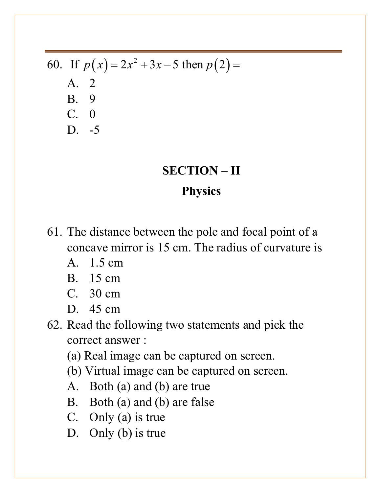60. If 
$$
p(x) = 2x^2 + 3x - 5
$$
 then  $p(2) =$   
A. 2  
B. 9  
C. 0  
D. -5

# **SECTION – II Physics**

- 61. The distance between the pole and focal point of a concave mirror is 15 cm. The radius of curvature is
	- A. 1.5 cm
	- B. 15 cm
	- C. 30 cm
	- D. 45 cm
- 62. Read the following two statements and pick the correct answer :
	- (a) Real image can be captured on screen.
	- (b) Virtual image can be captured on screen.
	- A. Both (a) and (b) are true
	- B. Both (a) and (b) are false
	- C. Only (a) is true
	- D. Only (b) is true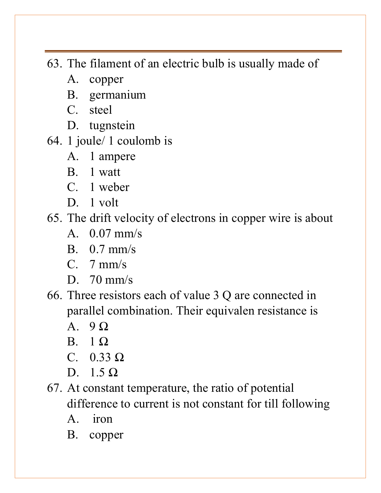63. The filament of an electric bulb is usually made of

- A. copper
- B. germanium
- C. steel
- D. tugnstein
- 64. 1 joule/ 1 coulomb is
	- A. 1 ampere
	- B. 1 watt
	- C. 1 weber
	- D. 1 volt

### 65. The drift velocity of electrons in copper wire is about

- A. 0.07 mm/s
- B. 0.7 mm/s
- C. 7 mm/s
- D. 70 mm/s
- 66. Three resistors each of value 3 Q are connected in parallel combination. Their equivalen resistance is
	- $A \quad 9 \Omega$
	- B. 1 Ω
	- C.  $0.33 \Omega$
	- D.  $1.5 \Omega$
- 67. At constant temperature, the ratio of potential difference to current is not constant for till following
	- A. iron
	- B. copper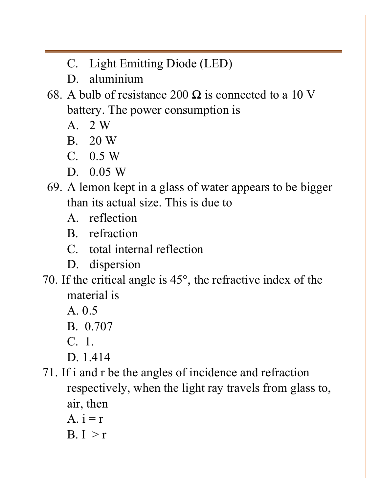- C. Light Emitting Diode (LED)
- D. aluminium
- 68. A bulb of resistance 200  $\Omega$  is connected to a 10 V battery. The power consumption is
	- A. 2 W
	- B. 20 W
	- C. 0.5 W
	- D. 0.05 W
- 69. A lemon kept in a glass of water appears to be bigger than its actual size. This is due to
	- A. reflection
	- B. refraction
	- C. total internal reflection
	- D. dispersion
- 70. If the critical angle is 45°, the refractive index of the material is
	- A. 0.5
	- B. 0.707
	- C. 1.
	- D. 1.414
- 71. If i and r be the angles of incidence and refraction respectively, when the light ray travels from glass to, air, then
	- A.  $i = r$
	- $B. I > r$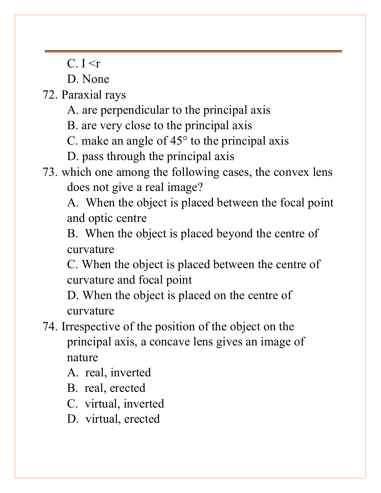$C.$  I  $\leq r$ 

D. None

72. Paraxial rays

- A. are perpendicular to the principal axis
- B. are very close to the principal axis
- C. make an angle of 45° to the principal axis
- D. pass through the principal axis
- 73. which one among the following cases, the convex lens does not give a real image?

A. When the object is placed between the focal point and optic centre

B. When the object is placed beyond the centre of curvature

C. When the object is placed between the centre of curvature and focal point

D. When the object is placed on the centre of curvature

74. Irrespective of the position of the object on the principal axis, a concave lens gives an image of nature

A. real, inverted

- B. real, erected
- C. virtual, inverted
- D. virtual, erected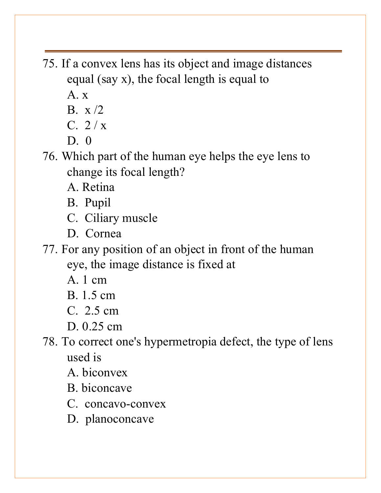- 75. If a convex lens has its object and image distances equal (say x), the focal length is equal to
	- A. x
	- $B_x \times /2$
	- $C. 2/x$
	- $D<sub>0</sub>$

76. Which part of the human eye helps the eye lens to change its focal length?

A. Retina

B. Pupil

C. Ciliary muscle

D. Cornea

77. For any position of an object in front of the human eye, the image distance is fixed at

A. 1 cm

B. 1.5 cm

C. 2.5 cm

D. 0.25 cm

78. To correct one's hypermetropia defect, the type of lens used is

A. biconvex

B. biconcave

C. concavo-convex

D. planoconcave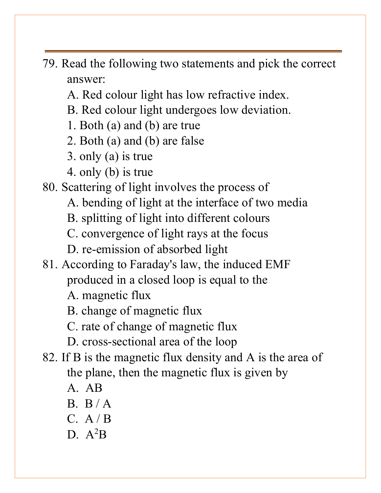- 79. Read the following two statements and pick the correct answer:
	- A. Red colour light has low refractive index.
	- B. Red colour light undergoes low deviation.
	- 1. Both (a) and (b) are true
	- 2. Both (a) and (b) are false
	- 3. only (a) is true
	- 4. only (b) is true
- 80. Scattering of light involves the process of
	- A. bending of light at the interface of two media
	- B. splitting of light into different colours
	- C. convergence of light rays at the focus
	- D. re-emission of absorbed light
- 81. According to Faraday's law, the induced EMF produced in a closed loop is equal to the
	- A. magnetic flux
	- B. change of magnetic flux
	- C. rate of change of magnetic flux
	- D. cross-sectional area of the loop
- 82. If B is the magnetic flux density and A is the area of the plane, then the magnetic flux is given by
	- A. AB
	- $B. B/A$
	- $C. A / B$
	- D.  $A^2B$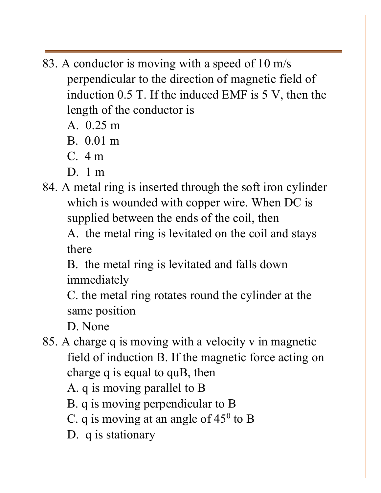- 83. A conductor is moving with a speed of 10 m/s perpendicular to the direction of magnetic field of induction 0.5 T. If the induced EMF is 5 V, then the length of the conductor is
	- A. 0.25 m
	- B. 0.01 m
	- C. 4 m
	- D. 1 m
- 84. A metal ring is inserted through the soft iron cylinder which is wounded with copper wire. When DC is supplied between the ends of the coil, then

A. the metal ring is levitated on the coil and stays there

B. the metal ring is levitated and falls down immediately

C. the metal ring rotates round the cylinder at the same position

D. None

85. A charge q is moving with a velocity v in magnetic field of induction B. If the magnetic force acting on charge q is equal to quB, then

A. q is moving parallel to B

B. q is moving perpendicular to B

C. q is moving at an angle of  $45^{\circ}$  to B

D. q is stationary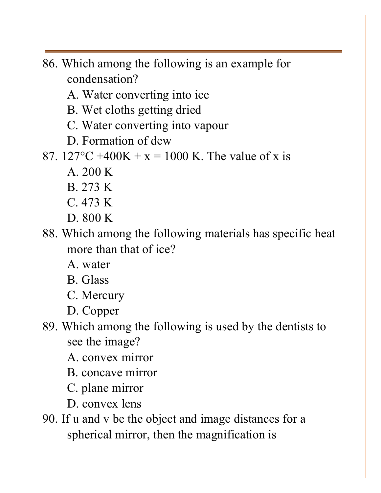86. Which among the following is an example for condensation?

A. Water converting into ice

B. Wet cloths getting dried

C. Water converting into vapour

D. Formation of dew

87. 127 °C +400K + x = 1000 K. The value of x is

A. 200 K

B. 273 K

C. 473 K

D. 800 K

88. Which among the following materials has specific heat more than that of ice?

A. water

B. Glass

C. Mercury

D. Copper

89. Which among the following is used by the dentists to see the image?

A. convex mirror

B. concave mirror

C. plane mirror

D. convex lens

90. If u and v be the object and image distances for a spherical mirror, then the magnification is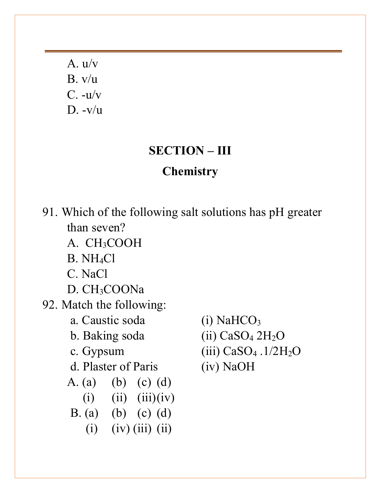A. u/v B. v/u  $C. -u/v$  $D. -v/u$ 

#### **SECTION – III**

#### **Chemistry**

91. Which of the following salt solutions has pH greater than seven?

- A. CH3COOH
- B. NH4Cl
- C. NaCl
- D. CH3COONa
- 92. Match the following:
	- a. Caustic soda (i) NaHCO<sub>3</sub>
	-
	-
	- d. Plaster of Paris (iv) NaOH
	- A. (a) (b) (c) (d)
		- $(i)$   $(ii)$   $(iii)(iv)$
	- B. (a) (b) (c) (d)
		- $(i)$   $(iv)$   $(iii)$   $(ii)$
- 
- b. Baking soda  $(iii)$  CaSO<sub>4</sub> 2H<sub>2</sub>O
- c. Gypsum  $(iii)$  CaSO<sub>4</sub> .1/2H<sub>2</sub>O
	-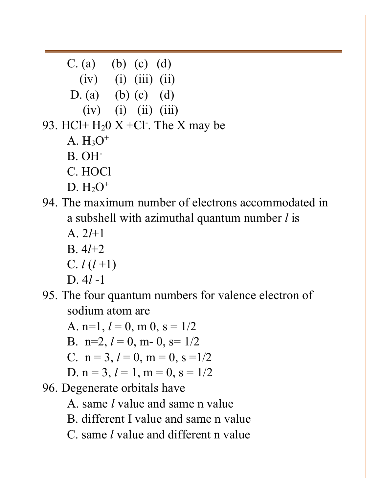C. (a) (b) (c) (d)  $(iv)$  (i)  $(iii)$  (ii) D. (a) (b) (c) (d)  $(iv)$  (i) (ii) (iii) 93. HCl+  $H<sub>2</sub>0$  X +Cl<sup>-</sup>. The X may be A.  $H_3O^+$ B. OH- C. HOCl  $D. H<sub>2</sub>O<sup>+</sup>$ 94. The maximum number of electrons accommodated in a subshell with azimuthal quantum number *l* is A. 2*l*+1 B. 4*l*+2  $C. l(l+1)$ 

 $D. 4l -1$ 

95. The four quantum numbers for valence electron of sodium atom are

A.  $n=1, l=0, m 0, s=1/2$ B.  $n=2, l=0, m-0, s=1/2$ C.  $n = 3, l = 0, m = 0, s = 1/2$ D.  $n = 3, l = 1, m = 0, s = 1/2$ 96. Degenerate orbitals have A. same *l* value and same n value

B. different I value and same n value

C. same *l* value and different n value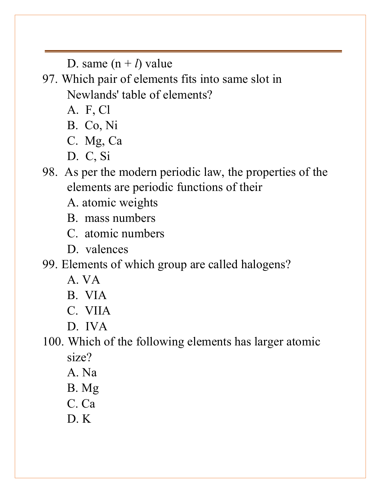D. same  $(n + l)$  value

97. Which pair of elements fits into same slot in Newlands' table of elements?

- A. F, Cl
- B. Co, Ni
- C. Mg, Ca
- D. C, Si
- 98. As per the modern periodic law, the properties of the elements are periodic functions of their
	- A. atomic weights
	- B. mass numbers
	- C. atomic numbers
	- D. valences

99. Elements of which group are called halogens?

- A. VA
- B. VIA
- C. VIIA
- D. IVA

100. Which of the following elements has larger atomic size?

- A. Na
- B. Mg
- C. Ca
- D. K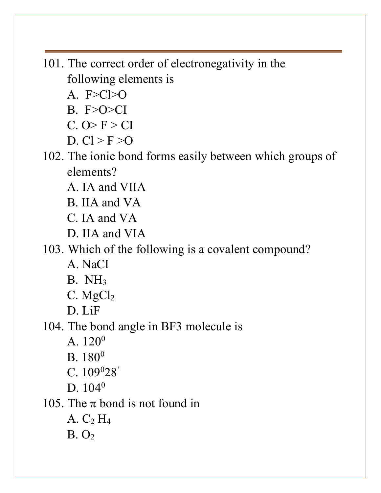- 101. The correct order of electronegativity in the following elements is
	- A.  $F>C>O$
	- $B. F>O>CI$
	- $C.$  O > F > CI
	- D.  $Cl > F > O$
- 102. The ionic bond forms easily between which groups of elements?
	- A. IA and VIIA
	- B. IIA and VA
	- C. IA and VA
	- D. IIA and VIA

103. Which of the following is a covalent compound?

- A. NaCI
- B. NH3
- $C.$  Mg $Cl<sub>2</sub>$
- D. LiF
- 104. The bond angle in BF3 molecule is
	- A.  $120^0$
	- $B. 180<sup>0</sup>$
	- $C. 109<sup>0</sup>28'$
	- D.  $104^0$

105. The  $\pi$  bond is not found in

- A.  $C_2$  H<sub>4</sub>
- $B. O<sub>2</sub>$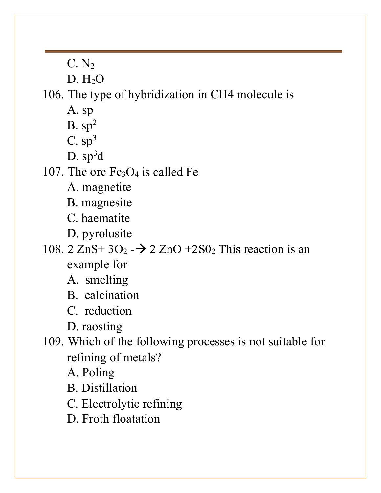$C. N<sub>2</sub>$ 

 $D. H<sub>2</sub>O$ 

106. The type of hybridization in CH4 molecule is

- A. sp
- $B.$  sp<sup>2</sup>
- $C.$  sp<sup>3</sup>
- $D.$   $sp^3d$

107. The ore  $Fe<sub>3</sub>O<sub>4</sub>$  is called Fe

- A. magnetite
- B. magnesite
- C. haematite
- D. pyrolusite

### 108. 2  $\text{ZnS+3O}_2$  -  $\rightarrow$  2  $\text{ZnO}$  +2S0<sub>2</sub> This reaction is an example for

- A. smelting
- B. calcination
- C. reduction

D. raosting

109. Which of the following processes is not suitable for refining of metals?

A. Poling

- B. Distillation
- C. Electrolytic refining
- D. Froth floatation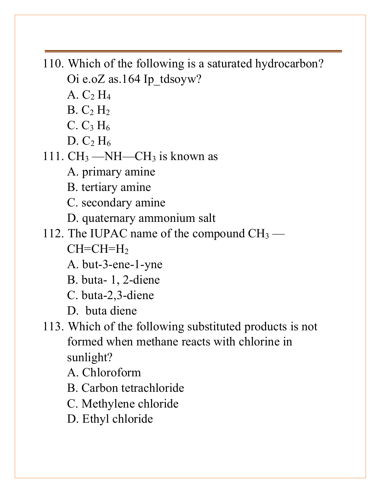110. Which of the following is a saturated hydrocarbon? Oi e.oZ as.164 Ip\_tdsoyw?

- A.  $C_2$  H<sub>4</sub>
- $B. C<sub>2</sub> H<sub>2</sub>$
- C.  $C_3 H_6$
- D.  $C_2$  H<sub>6</sub>
- 111.  $CH_3$  —NH—CH<sub>3</sub> is known as
	- A. primary amine
	- B. tertiary amine
	- C. secondary amine
	- D. quaternary ammonium salt
- 112. The IUPAC name of the compound  $CH_3$   $CH=CH=H<sub>2</sub>$ 
	- A. but-3-ene-1-yne
	- B. buta- 1, 2-diene
	- C. buta-2,3-diene
	- D. buta diene
- 113. Which of the following substituted products is not formed when methane reacts with chlorine in sunlight?
	- A. Chloroform
	- B. Carbon tetrachloride
	- C. Methylene chloride
	- D. Ethyl chloride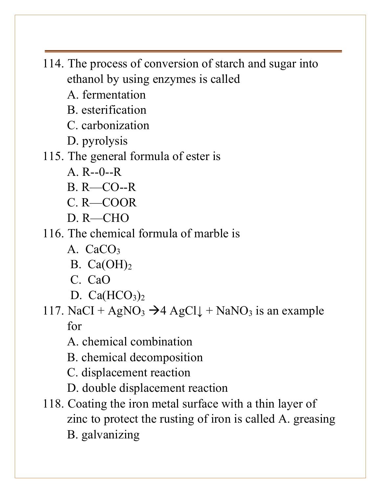- 114. The process of conversion of starch and sugar into ethanol by using enzymes is called
	- A. fermentation
	- B. esterification
	- C. carbonization
	- D. pyrolysis
- 115. The general formula of ester is
	- $A$  R--0--R
	- B. R—CO--R
	- C. R—COOR
	- D. R—CHO
- 116. The chemical formula of marble is
	- A. CaCO<sub>3</sub>
	- B.  $Ca(OH)<sub>2</sub>$
	- C. CaO
	- D.  $Ca(HCO<sub>3</sub>)<sub>2</sub>$
- 117. NaCI +  $AgNO_3 \rightarrow 4 AgCl \downarrow + NaNO_3$  is an example for
	- A. chemical combination
	- B. chemical decomposition
	- C. displacement reaction
	- D. double displacement reaction
- 118. Coating the iron metal surface with a thin layer of zinc to protect the rusting of iron is called A. greasing B. galvanizing